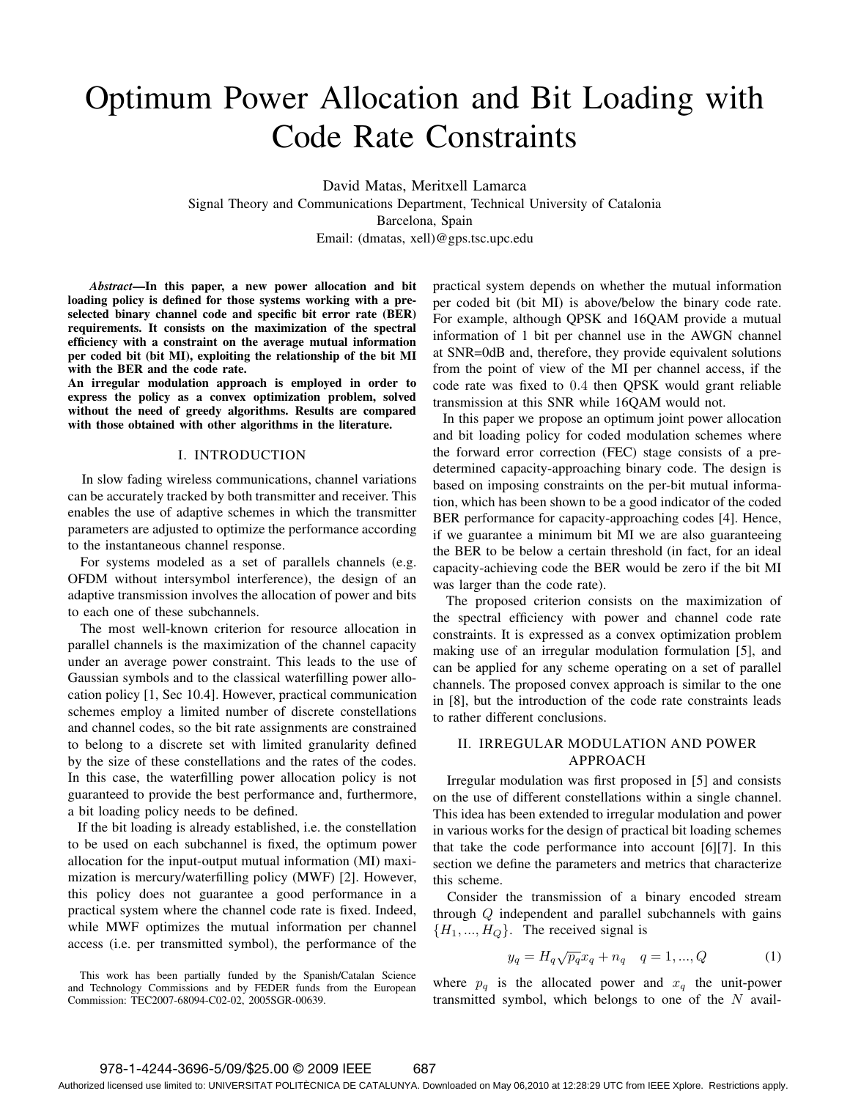# Optimum Power Allocation and Bit Loading with Code Rate Constraints

David Matas, Meritxell Lamarca Signal Theory and Communications Department, Technical University of Catalonia Barcelona, Spain Email: (dmatas, xell)@gps.tsc.upc.edu

*Abstract***—In this paper, a new power allocation and bit loading policy is defined for those systems working with a preselected binary channel code and specific bit error rate (BER) requirements. It consists on the maximization of the spectral efficiency with a constraint on the average mutual information per coded bit (bit MI), exploiting the relationship of the bit MI with the BER and the code rate.**

**An irregular modulation approach is employed in order to express the policy as a convex optimization problem, solved without the need of greedy algorithms. Results are compared with those obtained with other algorithms in the literature.**

#### I. INTRODUCTION

In slow fading wireless communications, channel variations can be accurately tracked by both transmitter and receiver. This enables the use of adaptive schemes in which the transmitter parameters are adjusted to optimize the performance according to the instantaneous channel response.

For systems modeled as a set of parallels channels (e.g. OFDM without intersymbol interference), the design of an adaptive transmission involves the allocation of power and bits to each one of these subchannels.

The most well-known criterion for resource allocation in parallel channels is the maximization of the channel capacity under an average power constraint. This leads to the use of Gaussian symbols and to the classical waterfilling power allocation policy [1, Sec 10.4]. However, practical communication schemes employ a limited number of discrete constellations and channel codes, so the bit rate assignments are constrained to belong to a discrete set with limited granularity defined by the size of these constellations and the rates of the codes. In this case, the waterfilling power allocation policy is not guaranteed to provide the best performance and, furthermore, a bit loading policy needs to be defined.

If the bit loading is already established, i.e. the constellation to be used on each subchannel is fixed, the optimum power allocation for the input-output mutual information (MI) maximization is mercury/waterfilling policy (MWF) [2]. However, this policy does not guarantee a good performance in a practical system where the channel code rate is fixed. Indeed, while MWF optimizes the mutual information per channel access (i.e. per transmitted symbol), the performance of the

This work has been partially funded by the Spanish/Catalan Science and Technology Commissions and by FEDER funds from the European Commission: TEC2007-68094-C02-02, 2005SGR-00639.

practical system depends on whether the mutual information per coded bit (bit MI) is above/below the binary code rate. For example, although QPSK and 16QAM provide a mutual information of 1 bit per channel use in the AWGN channel at SNR=0dB and, therefore, they provide equivalent solutions from the point of view of the MI per channel access, if the code rate was fixed to 0.4 then QPSK would grant reliable transmission at this SNR while 16QAM would not.

In this paper we propose an optimum joint power allocation and bit loading policy for coded modulation schemes where the forward error correction (FEC) stage consists of a predetermined capacity-approaching binary code. The design is based on imposing constraints on the per-bit mutual information, which has been shown to be a good indicator of the coded BER performance for capacity-approaching codes [4]. Hence, if we guarantee a minimum bit MI we are also guaranteeing the BER to be below a certain threshold (in fact, for an ideal capacity-achieving code the BER would be zero if the bit MI was larger than the code rate).

The proposed criterion consists on the maximization of the spectral efficiency with power and channel code rate constraints. It is expressed as a convex optimization problem making use of an irregular modulation formulation [5], and can be applied for any scheme operating on a set of parallel channels. The proposed convex approach is similar to the one in [8], but the introduction of the code rate constraints leads to rather different conclusions.

## II. IRREGULAR MODULATION AND POWER APPROACH

Irregular modulation was first proposed in [5] and consists on the use of different constellations within a single channel. This idea has been extended to irregular modulation and power in various works for the design of practical bit loading schemes that take the code performance into account [6][7]. In this section we define the parameters and metrics that characterize this scheme.

Consider the transmission of a binary encoded stream through Q independent and parallel subchannels with gains  ${H_1, ..., H_Q}$ . The received signal is

$$
y_q = H_q \sqrt{p_q} x_q + n_q \quad q = 1, \dots, Q \tag{1}
$$

where  $p_q$  is the allocated power and  $x_q$  the unit-power transmitted symbol, which belongs to one of the  $N$  avail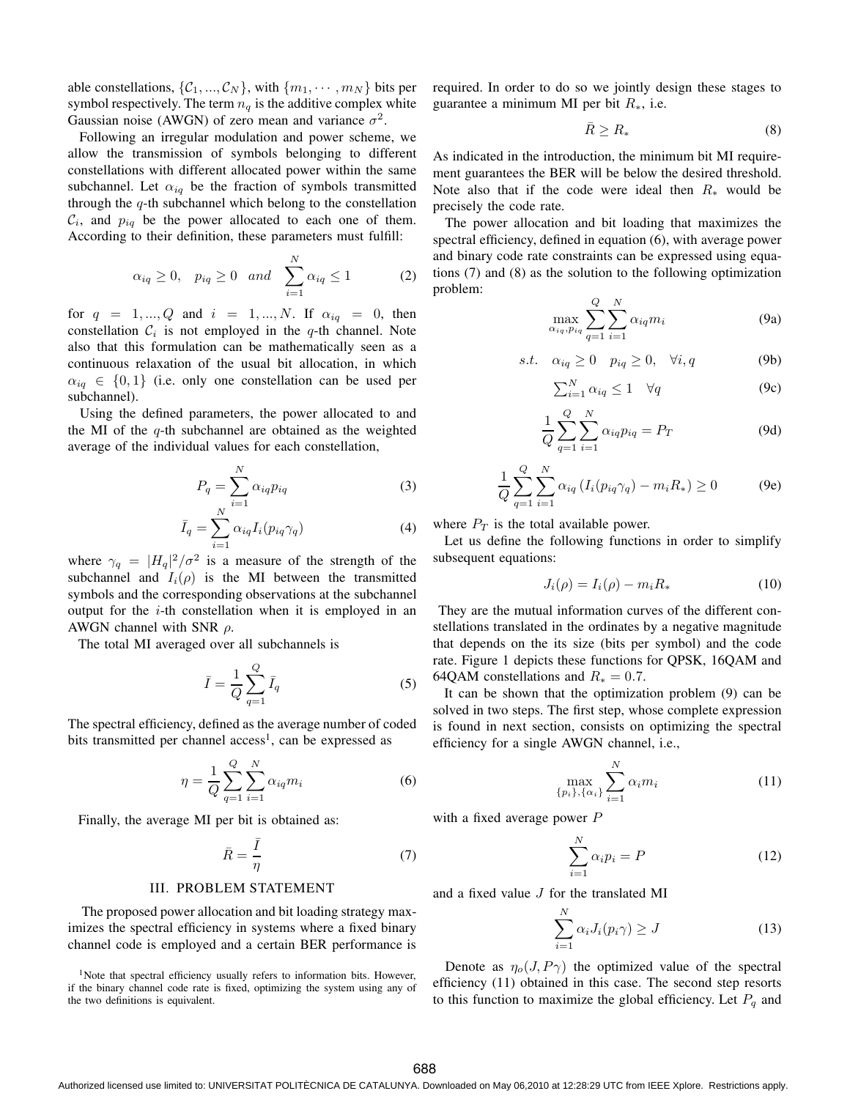able constellations,  $\{\mathcal{C}_1, ..., \mathcal{C}_N\}$ , with  $\{m_1, \cdots, m_N\}$  bits per symbol respectively. The term  $n_q$  is the additive complex white Gaussian noise (AWGN) of zero mean and variance  $\sigma^2$ .

Following an irregular modulation and power scheme, we allow the transmission of symbols belonging to different constellations with different allocated power within the same subchannel. Let  $\alpha_{iq}$  be the fraction of symbols transmitted through the  $q$ -th subchannel which belong to the constellation  $\mathcal{C}_i$ , and  $p_{iq}$  be the power allocated to each one of them. According to their definition, these parameters must fulfill:

$$
\alpha_{iq} \ge 0, \quad p_{iq} \ge 0 \quad and \quad \sum_{i=1}^{N} \alpha_{iq} \le 1 \tag{2}
$$

for  $q = 1, ..., Q$  and  $i = 1, ..., N$ . If  $\alpha_{iq} = 0$ , then constellation  $C_i$  is not employed in the q-th channel. Note also that this formulation can be mathematically seen as a continuous relaxation of the usual bit allocation, in which  $\alpha_{iq} \in \{0, 1\}$  (i.e. only one constellation can be used per subchannel).

Using the defined parameters, the power allocated to and the MI of the  $q$ -th subchannel are obtained as the weighted average of the individual values for each constellation,

$$
P_q = \sum_{i=1}^{N} \alpha_{iq} p_{iq} \tag{3}
$$

$$
\bar{I}_q = \sum_{i=1}^N \alpha_{iq} I_i(p_{iq}\gamma_q)
$$
\n(4)

where  $\gamma_q = |H_q|^2/\sigma^2$  is a measure of the strength of the subchannel and  $I_i(\rho)$  is the MI between the transmitted symbols and the corresponding observations at the subchannel output for the  $i$ -th constellation when it is employed in an AWGN channel with SNR  $\rho$ .

The total MI averaged over all subchannels is

$$
\bar{I} = \frac{1}{Q} \sum_{q=1}^{Q} \bar{I}_q
$$
\n<sup>(5)</sup>

The spectral efficiency, defined as the average number of coded bits transmitted per channel  $access<sup>1</sup>$ , can be expressed as

$$
\eta = \frac{1}{Q} \sum_{q=1}^{Q} \sum_{i=1}^{N} \alpha_{iq} m_i
$$
 (6)

Finally, the average MI per bit is obtained as:

$$
\bar{R} = \frac{\bar{I}}{\eta} \tag{7}
$$

#### III. PROBLEM STATEMENT

The proposed power allocation and bit loading strategy maximizes the spectral efficiency in systems where a fixed binary channel code is employed and a certain BER performance is

 $1$ Note that spectral efficiency usually refers to information bits. However, if the binary channel code rate is fixed, optimizing the system using any of the two definitions is equivalent.

required. In order to do so we jointly design these stages to guarantee a minimum MI per bit  $R_*,$  i.e.

$$
\bar{R} \ge R_* \tag{8}
$$

As indicated in the introduction, the minimum bit MI requirement guarantees the BER will be below the desired threshold. Note also that if the code were ideal then  $R_*$  would be precisely the code rate.

The power allocation and bit loading that maximizes the spectral efficiency, defined in equation (6), with average power and binary code rate constraints can be expressed using equations (7) and (8) as the solution to the following optimization problem:

$$
\max_{\alpha_{iq}, p_{iq}} \sum_{q=1}^{Q} \sum_{i=1}^{N} \alpha_{iq} m_i
$$
 (9a)

$$
s.t. \quad \alpha_{iq} \ge 0 \quad p_{iq} \ge 0, \quad \forall i, q \tag{9b}
$$

$$
\sum_{i=1}^{N} \alpha_{iq} \le 1 \quad \forall q \tag{9c}
$$

$$
\frac{1}{Q} \sum_{q=1}^{Q} \sum_{i=1}^{N} \alpha_{iq} p_{iq} = P_T \tag{9d}
$$

$$
\frac{1}{Q} \sum_{q=1}^{Q} \sum_{i=1}^{N} \alpha_{iq} \left( I_i(p_{iq}\gamma_q) - m_i R_* \right) \ge 0 \tag{9e}
$$

where  $P_T$  is the total available power.

Let us define the following functions in order to simplify subsequent equations:

$$
J_i(\rho) = I_i(\rho) - m_i R_* \tag{10}
$$

They are the mutual information curves of the different constellations translated in the ordinates by a negative magnitude that depends on the its size (bits per symbol) and the code rate. Figure 1 depicts these functions for QPSK, 16QAM and 64QAM constellations and  $R_* = 0.7$ .

It can be shown that the optimization problem (9) can be solved in two steps. The first step, whose complete expression is found in next section, consists on optimizing the spectral efficiency for a single AWGN channel, i.e.,

$$
\max_{\{p_i\},\{\alpha_i\}} \sum_{i=1}^N \alpha_i m_i \tag{11}
$$

with a fixed average power P

$$
\sum_{i=1}^{N} \alpha_i p_i = P \tag{12}
$$

and a fixed value J for the translated MI

$$
\sum_{i=1}^{N} \alpha_i J_i(p_i \gamma) \ge J \tag{13}
$$

Denote as  $\eta_o(J, P\gamma)$  the optimized value of the spectral efficiency (11) obtained in this case. The second step resorts to this function to maximize the global efficiency. Let  $P<sub>q</sub>$  and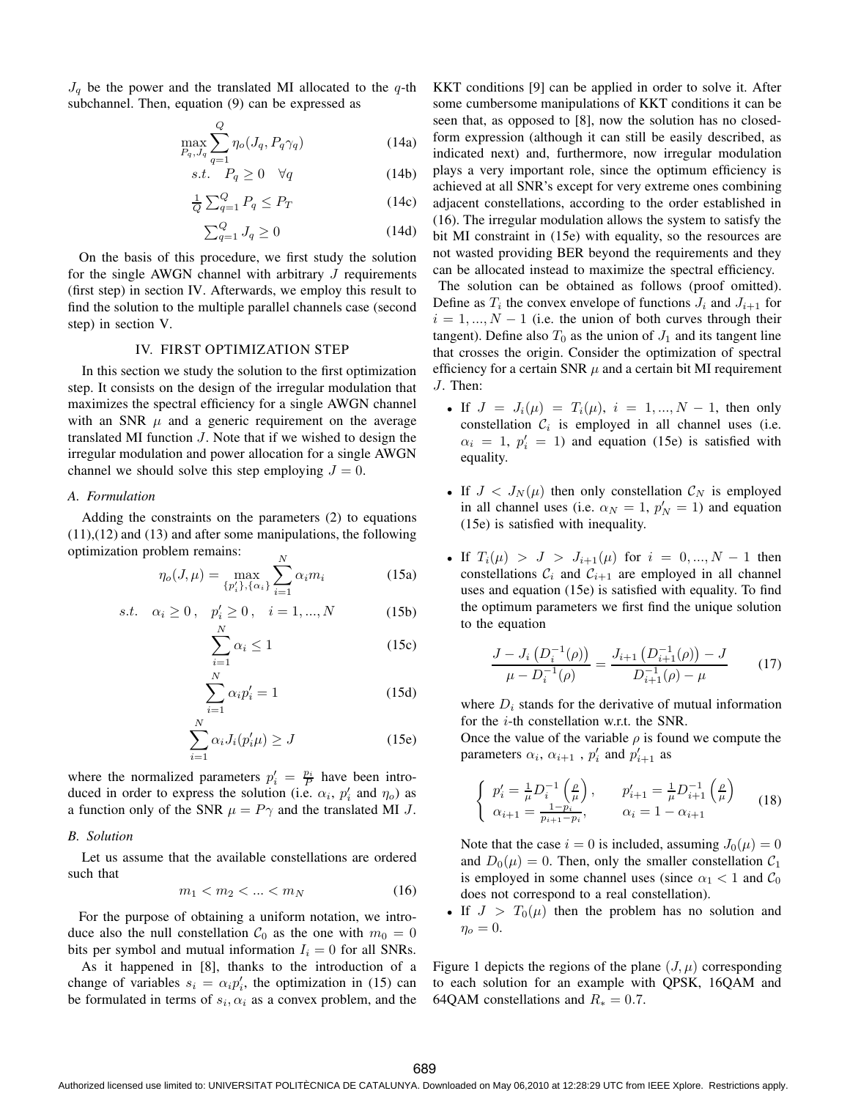$J_q$  be the power and the translated MI allocated to the q-th subchannel. Then, equation (9) can be expressed as

$$
\max_{P_q, J_q} \sum_{q=1}^{Q} \eta_o(J_q, P_q \gamma_q) \tag{14a}
$$

$$
s.t. \quad P_q \ge 0 \quad \forall q \tag{14b}
$$

$$
\frac{1}{Q} \sum_{q=1}^{Q} P_q \le P_T \tag{14c}
$$

$$
\sum_{q=1}^{Q} J_q \ge 0 \tag{14d}
$$

On the basis of this procedure, we first study the solution for the single AWGN channel with arbitrary  $J$  requirements (first step) in section IV. Afterwards, we employ this result to find the solution to the multiple parallel channels case (second step) in section V.

## IV. FIRST OPTIMIZATION STEP

In this section we study the solution to the first optimization step. It consists on the design of the irregular modulation that maximizes the spectral efficiency for a single AWGN channel with an SNR  $\mu$  and a generic requirement on the average translated MI function J. Note that if we wished to design the irregular modulation and power allocation for a single AWGN channel we should solve this step employing  $J = 0$ .

#### *A. Formulation*

Adding the constraints on the parameters (2) to equations (11),(12) and (13) and after some manipulations, the following optimization problem remains:  $\overline{N}$ 

$$
\eta_o(J,\mu) = \max_{\{p'_i\},\{\alpha_i\}} \sum_{i=1}^{N} \alpha_i m_i
$$
 (15a)

s.t. 
$$
\alpha_i \ge 0
$$
,  $p'_i \ge 0$ ,  $i = 1, ..., N$  (15b)

$$
\sum_{i=1}^{N} \alpha_i \le 1
$$
 (15c)

$$
\sum_{i=1}^{N} \alpha_i p'_i = 1 \tag{15d}
$$

$$
\sum_{i=1}^{N} \alpha_i J_i(p'_i \mu) \ge J \tag{15e}
$$

where the normalized parameters  $p'_i = \frac{p_i}{p}$  have been introduced in order to express the solution (i.e.  $\alpha_i$ ,  $p'_i$  and  $\eta_o$ ) as a function only of the SNR  $\mu = P\gamma$  and the translated MI J.

#### *B. Solution*

Let us assume that the available constellations are ordered such that

$$
m_1 < m_2 < \ldots < m_N \tag{16}
$$

For the purpose of obtaining a uniform notation, we introduce also the null constellation  $C_0$  as the one with  $m_0 = 0$ bits per symbol and mutual information  $I_i = 0$  for all SNRs.

As it happened in [8], thanks to the introduction of a change of variables  $s_i = \alpha_i p'_i$ , the optimization in (15) can be formulated in terms of  $s_i, \alpha_i$  as a convex problem, and the

KKT conditions [9] can be applied in order to solve it. After some cumbersome manipulations of KKT conditions it can be seen that, as opposed to [8], now the solution has no closedform expression (although it can still be easily described, as indicated next) and, furthermore, now irregular modulation plays a very important role, since the optimum efficiency is achieved at all SNR's except for very extreme ones combining adjacent constellations, according to the order established in (16). The irregular modulation allows the system to satisfy the bit MI constraint in (15e) with equality, so the resources are not wasted providing BER beyond the requirements and they can be allocated instead to maximize the spectral efficiency.

The solution can be obtained as follows (proof omitted). Define as  $T_i$  the convex envelope of functions  $J_i$  and  $J_{i+1}$  for  $i = 1, ..., N - 1$  (i.e. the union of both curves through their tangent). Define also  $T_0$  as the union of  $J_1$  and its tangent line that crosses the origin. Consider the optimization of spectral efficiency for a certain SNR  $\mu$  and a certain bit MI requirement J. Then:

- If  $J = J_i(\mu) = T_i(\mu), i = 1, ..., N 1$ , then only constellation  $C_i$  is employed in all channel uses (i.e.  $\alpha_i = 1, p'_i = 1$  and equation (15e) is satisfied with equality.
- If  $J < J_N(\mu)$  then only constellation  $\mathcal{C}_N$  is employed in all channel uses (i.e.  $\alpha_N = 1$ ,  $p'_N = 1$ ) and equation (15e) is satisfied with inequality.
- If  $T_i(\mu) > J > J_{i+1}(\mu)$  for  $i = 0, ..., N 1$  then constellations  $C_i$  and  $C_{i+1}$  are employed in all channel uses and equation (15e) is satisfied with equality. To find the optimum parameters we first find the unique solution to the equation

$$
\frac{J - J_i\left(D_i^{-1}(\rho)\right)}{\mu - D_i^{-1}(\rho)} = \frac{J_{i+1}\left(D_{i+1}^{-1}(\rho)\right) - J}{D_{i+1}^{-1}(\rho) - \mu} \tag{17}
$$

where  $D_i$  stands for the derivative of mutual information for the i-th constellation w.r.t. the SNR.

Once the value of the variable  $\rho$  is found we compute the parameters  $\alpha_i$ ,  $\alpha_{i+1}$ ,  $p'_i$  and  $p'_{i+1}$  as

$$
\begin{cases}\n p'_i = \frac{1}{\mu} D_i^{-1} \left( \frac{\rho}{\mu} \right), & p'_{i+1} = \frac{1}{\mu} D_{i+1}^{-1} \left( \frac{\rho}{\mu} \right) \\
\alpha_{i+1} = \frac{1 - p_i}{p_{i+1} - p_i}, & \alpha_i = 1 - \alpha_{i+1}\n\end{cases} (18)
$$

Note that the case  $i = 0$  is included, assuming  $J_0(\mu) = 0$ and  $D_0(\mu)=0$ . Then, only the smaller constellation  $C_1$ is employed in some channel uses (since  $\alpha_1 < 1$  and  $\mathcal{C}_0$ does not correspond to a real constellation).

• If  $J > T_0(\mu)$  then the problem has no solution and  $\eta_o=0.$ 

Figure 1 depicts the regions of the plane  $(J, \mu)$  corresponding to each solution for an example with QPSK, 16QAM and 64QAM constellations and  $R_* = 0.7$ .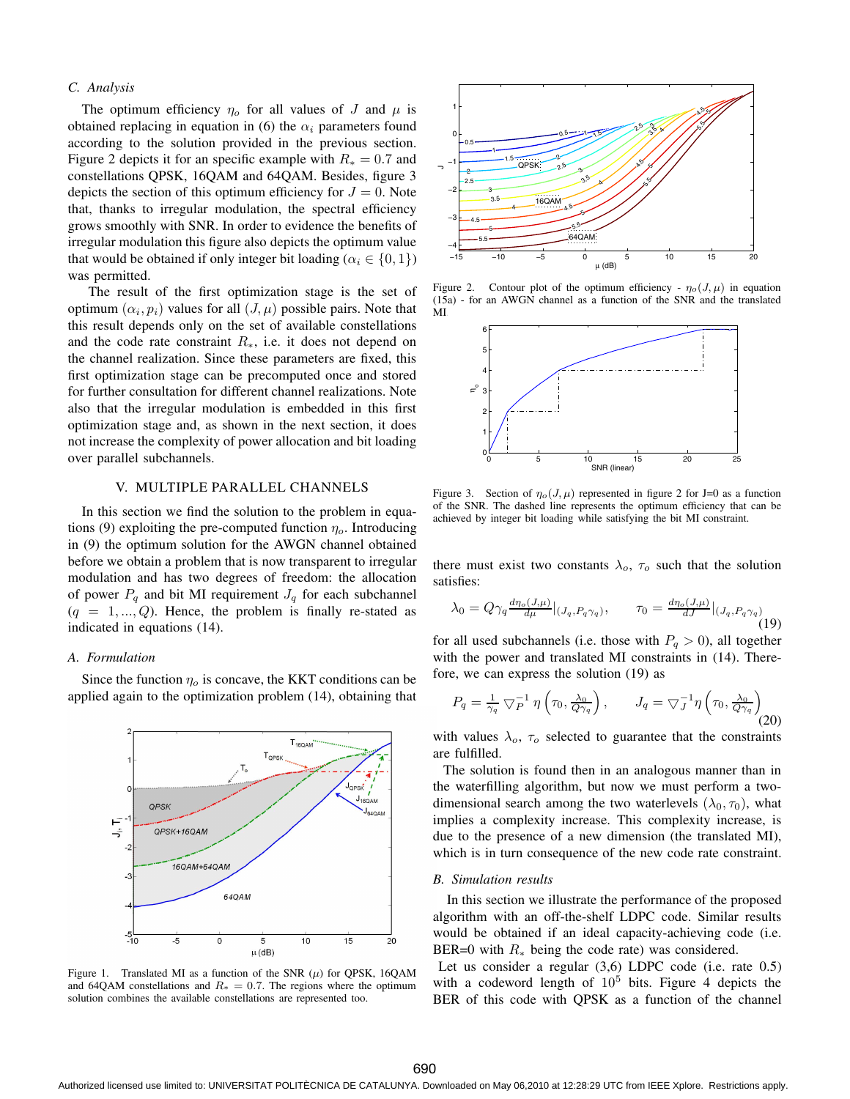#### *C. Analysis*

The optimum efficiency  $\eta_o$  for all values of J and  $\mu$  is obtained replacing in equation in (6) the  $\alpha_i$  parameters found according to the solution provided in the previous section. Figure 2 depicts it for an specific example with  $R_* = 0.7$  and constellations QPSK, 16QAM and 64QAM. Besides, figure 3 depicts the section of this optimum efficiency for  $J = 0$ . Note that, thanks to irregular modulation, the spectral efficiency grows smoothly with SNR. In order to evidence the benefits of irregular modulation this figure also depicts the optimum value that would be obtained if only integer bit loading ( $\alpha_i \in \{0, 1\}$ ) was permitted.

The result of the first optimization stage is the set of optimum  $(\alpha_i, p_i)$  values for all  $(J, \mu)$  possible pairs. Note that this result depends only on the set of available constellations and the code rate constraint  $R_{\ast}$ , i.e. it does not depend on the channel realization. Since these parameters are fixed, this first optimization stage can be precomputed once and stored for further consultation for different channel realizations. Note also that the irregular modulation is embedded in this first optimization stage and, as shown in the next section, it does not increase the complexity of power allocation and bit loading over parallel subchannels.

## V. MULTIPLE PARALLEL CHANNELS

In this section we find the solution to the problem in equations (9) exploiting the pre-computed function  $\eta_o$ . Introducing in (9) the optimum solution for the AWGN channel obtained before we obtain a problem that is now transparent to irregular modulation and has two degrees of freedom: the allocation of power  $P_q$  and bit MI requirement  $J_q$  for each subchannel  $(q = 1, ..., Q)$ . Hence, the problem is finally re-stated as indicated in equations (14).

### *A. Formulation*

Since the function  $\eta_o$  is concave, the KKT conditions can be applied again to the optimization problem (14), obtaining that



Figure 1. Translated MI as a function of the SNR  $(\mu)$  for QPSK, 16QAM and 64QAM constellations and  $R_* = 0.7$ . The regions where the optimum solution combines the available constellations are represented too.



Figure 2. Contour plot of the optimum efficiency -  $\eta_o(J,\mu)$  in equation (15a) - for an AWGN channel as a function of the SNR and the translated  $\overline{M}$ 



Figure 3. Section of  $\eta_o(J,\mu)$  represented in figure 2 for J=0 as a function of the SNR. The dashed line represents the optimum efficiency that can be achieved by integer bit loading while satisfying the bit MI constraint.

there must exist two constants  $\lambda_o$ ,  $\tau_o$  such that the solution satisfies:

$$
\lambda_0 = Q\gamma_q \frac{d\eta_o(J,\mu)}{d\mu}|_{(J_q, P_q \gamma_q)}, \qquad \tau_0 = \frac{d\eta_o(J,\mu)}{dJ}|_{(J_q, P_q \gamma_q)}
$$
(19)

for all used subchannels (i.e. those with  $P_q > 0$ ), all together with the power and translated MI constraints in (14). Therefore, we can express the solution (19) as

$$
P_q = \frac{1}{\gamma_q} \nabla_P^{-1} \eta \left( \tau_0, \frac{\lambda_0}{Q \gamma_q} \right), \qquad J_q = \nabla_J^{-1} \eta \left( \tau_0, \frac{\lambda_0}{Q \gamma_q} \right)
$$
(20)

with values  $\lambda_o$ ,  $\tau_o$  selected to guarantee that the constraints are fulfilled.

The solution is found then in an analogous manner than in the waterfilling algorithm, but now we must perform a twodimensional search among the two waterlevels  $(\lambda_0, \tau_0)$ , what implies a complexity increase. This complexity increase, is due to the presence of a new dimension (the translated MI), which is in turn consequence of the new code rate constraint.

#### *B. Simulation results*

In this section we illustrate the performance of the proposed algorithm with an off-the-shelf LDPC code. Similar results would be obtained if an ideal capacity-achieving code (i.e. BER=0 with  $R_*$  being the code rate) was considered.

Let us consider a regular (3,6) LDPC code (i.e. rate 0.5) with a codeword length of  $10^5$  bits. Figure 4 depicts the BER of this code with QPSK as a function of the channel